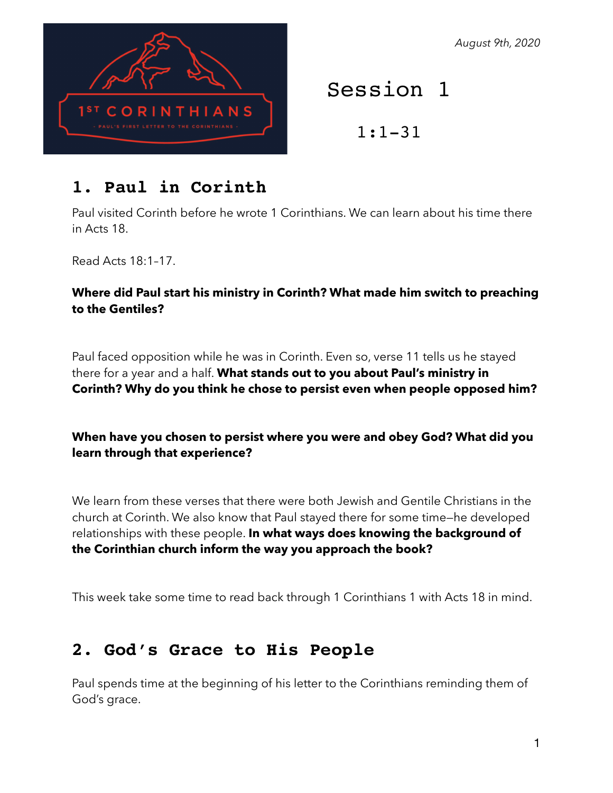*August 9th, 2020*



# Session 1

1:1-31

## **1. Paul in Corinth**

Paul visited Corinth before he wrote 1 Corinthians. We can learn about his time there in Acts 18.

Read Acts 18:1–17.

### **Where did Paul start his ministry in Corinth? What made him switch to preaching to the Gentiles?**

Paul faced opposition while he was in Corinth. Even so, verse 11 tells us he stayed there for a year and a half. **What stands out to you about Paul's ministry in Corinth? Why do you think he chose to persist even when people opposed him?**

### **When have you chosen to persist where you were and obey God? What did you learn through that experience?**

We learn from these verses that there were both Jewish and Gentile Christians in the church at Corinth. We also know that Paul stayed there for some time—he developed relationships with these people. **In what ways does knowing the background of the Corinthian church inform the way you approach the book?**

This week take some time to read back through 1 Corinthians 1 with Acts 18 in mind.

## **2. God's Grace to His People**

Paul spends time at the beginning of his letter to the Corinthians reminding them of God's grace.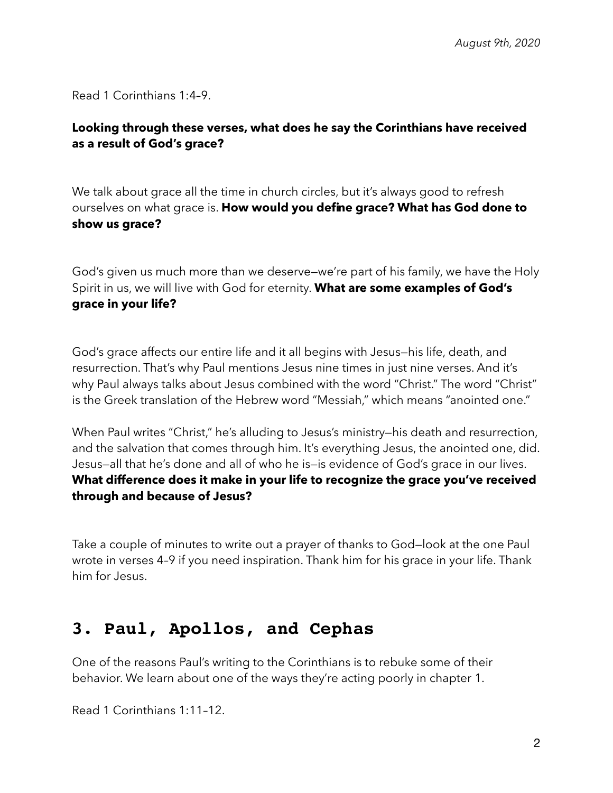Read 1 Corinthians 1:4–9.

### **Looking through these verses, what does he say the Corinthians have received as a result of God's grace?**

We talk about grace all the time in church circles, but it's always good to refresh ourselves on what grace is. **How would you define grace? What has God done to show us grace?**

God's given us much more than we deserve—we're part of his family, we have the Holy Spirit in us, we will live with God for eternity. **What are some examples of God's grace in your life?**

God's grace affects our entire life and it all begins with Jesus—his life, death, and resurrection. That's why Paul mentions Jesus nine times in just nine verses. And it's why Paul always talks about Jesus combined with the word "Christ." The word "Christ" is the Greek translation of the Hebrew word "Messiah," which means "anointed one."

When Paul writes "Christ," he's alluding to Jesus's ministry-his death and resurrection, and the salvation that comes through him. It's everything Jesus, the anointed one, did. Jesus—all that he's done and all of who he is—is evidence of God's grace in our lives. **What difference does it make in your life to recognize the grace you've received through and because of Jesus?**

Take a couple of minutes to write out a prayer of thanks to God—look at the one Paul wrote in verses 4–9 if you need inspiration. Thank him for his grace in your life. Thank him for Jesus.

### **3. Paul, Apollos, and Cephas**

One of the reasons Paul's writing to the Corinthians is to rebuke some of their behavior. We learn about one of the ways they're acting poorly in chapter 1.

Read 1 Corinthians 1:11–12.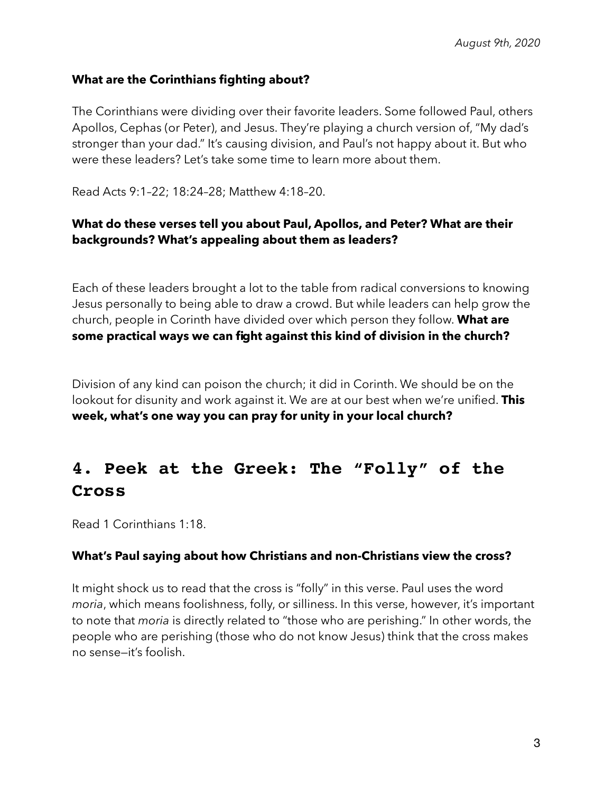### **What are the Corinthians fighting about?**

The Corinthians were dividing over their favorite leaders. Some followed Paul, others Apollos, Cephas (or Peter), and Jesus. They're playing a church version of, "My dad's stronger than your dad." It's causing division, and Paul's not happy about it. But who were these leaders? Let's take some time to learn more about them.

Read Acts 9:1–22; 18:24–28; Matthew 4:18–20.

### **What do these verses tell you about Paul, Apollos, and Peter? What are their backgrounds? What's appealing about them as leaders?**

Each of these leaders brought a lot to the table from radical conversions to knowing Jesus personally to being able to draw a crowd. But while leaders can help grow the church, people in Corinth have divided over which person they follow. **What are some practical ways we can fight against this kind of division in the church?**

Division of any kind can poison the church; it did in Corinth. We should be on the lookout for disunity and work against it. We are at our best when we're unified. **This week, what's one way you can pray for unity in your local church?**

## **4. Peek at the Greek: The "Folly" of the Cross**

Read 1 Corinthians 1:18.

#### **What's Paul saying about how Christians and non-Christians view the cross?**

It might shock us to read that the cross is "folly" in this verse. Paul uses the word *moria*, which means foolishness, folly, or silliness. In this verse, however, it's important to note that *moria* is directly related to "those who are perishing." In other words, the people who are perishing (those who do not know Jesus) think that the cross makes no sense—it's foolish.